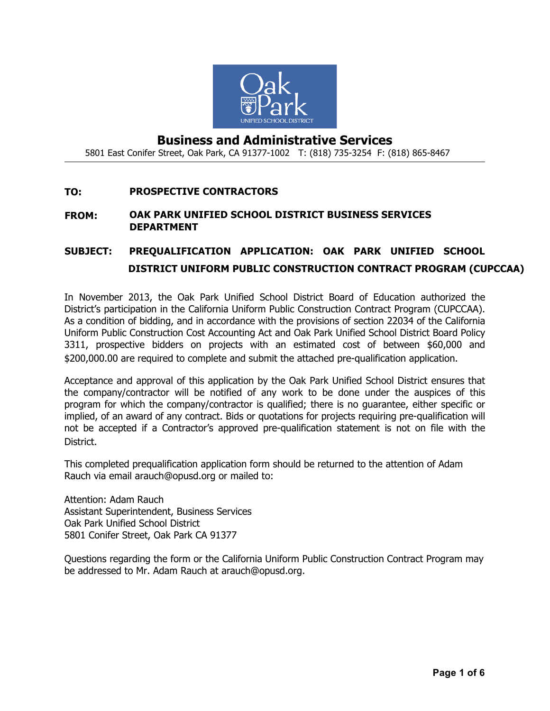

## **Business and Administrative Services** 5801 East Conifer Street, Oak Park, CA 91377-1002 T: (818) 735-3254 F: (818) 865-8467

#### **TO: PROSPECTIVE CONTRACTORS**

#### **FROM: OAK PARK UNIFIED SCHOOL DISTRICT BUSINESS SERVICES DEPARTMENT**

# **SUBJECT: PREQUALIFICATION APPLICATION: OAK PARK UNIFIED SCHOOL DISTRICT UNIFORM PUBLIC CONSTRUCTION CONTRACT PROGRAM (CUPCCAA)**

In November 2013, the Oak Park Unified School District Board of Education authorized the District's participation in the California Uniform Public Construction Contract Program (CUPCCAA). As a condition of bidding, and in accordance with the provisions of section 22034 of the California Uniform Public Construction Cost Accounting Act and Oak Park Unified School District Board Policy 3311, prospective bidders on projects with an estimated cost of between \$60,000 and \$200,000.00 are required to complete and submit the attached pre-qualification application.

Acceptance and approval of this application by the Oak Park Unified School District ensures that the company/contractor will be notified of any work to be done under the auspices of this program for which the company/contractor is qualified; there is no guarantee, either specific or implied, of an award of any contract. Bids or quotations for projects requiring pre-qualification will not be accepted if a Contractor's approved pre-qualification statement is not on file with the District.

This completed prequalification application form should be returned to the attention of Adam Rauch via email arauch@opusd.org or mailed to:

Attention: Adam Rauch Assistant Superintendent, Business Services Oak Park Unified School District 5801 Conifer Street, Oak Park CA 91377

Questions regarding the form or the California Uniform Public Construction Contract Program may be addressed to Mr. Adam Rauch at arauch@opusd.org.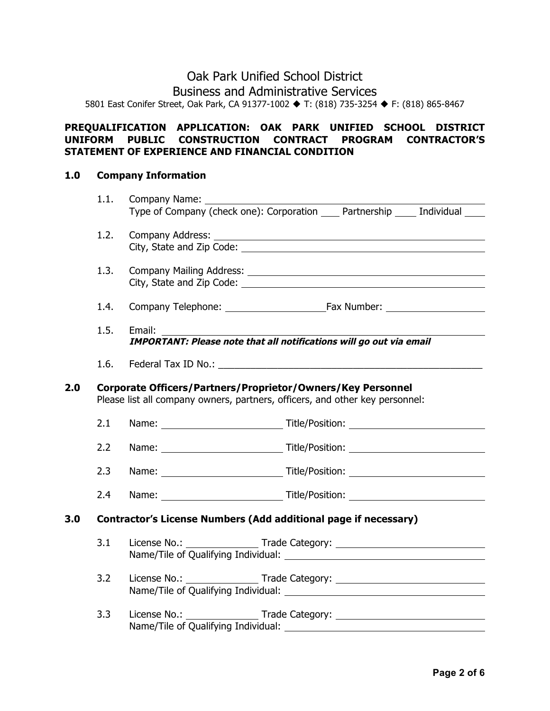## Oak Park Unified School District Business and Administrative Services 5801 East Conifer Street, Oak Park, CA 91377-1002 ♦ T: (818) 735-3254 ♦ F: (818) 865-8467

## **PREQUALIFICATION APPLICATION: OAK PARK UNIFIED SCHOOL DISTRICT UNIFORM PUBLIC CONSTRUCTION CONTRACT PROGRAM CONTRACTOR'S STATEMENT OF EXPERIENCE AND FINANCIAL CONDITION**

#### **1.0 Company Information**

|     | 1.1.                                                                                                                                        | Company Name:                                                                    |  |
|-----|---------------------------------------------------------------------------------------------------------------------------------------------|----------------------------------------------------------------------------------|--|
|     |                                                                                                                                             | Type of Company (check one): Corporation Partnership Individual                  |  |
|     | 1.2.                                                                                                                                        |                                                                                  |  |
|     |                                                                                                                                             |                                                                                  |  |
|     | 1.3.                                                                                                                                        |                                                                                  |  |
|     |                                                                                                                                             |                                                                                  |  |
|     | 1.4.                                                                                                                                        |                                                                                  |  |
|     | 1.5.                                                                                                                                        | Email:                                                                           |  |
|     |                                                                                                                                             | <b>IMPORTANT: Please note that all notifications will go out via email</b>       |  |
|     | 1.6.                                                                                                                                        |                                                                                  |  |
| 2.0 | Corporate Officers/Partners/Proprietor/Owners/Key Personnel<br>Please list all company owners, partners, officers, and other key personnel: |                                                                                  |  |
|     | 2.1                                                                                                                                         |                                                                                  |  |
|     | 2.2                                                                                                                                         |                                                                                  |  |
|     | 2.3                                                                                                                                         |                                                                                  |  |
|     | 2.4                                                                                                                                         |                                                                                  |  |
| 3.0 |                                                                                                                                             | <b>Contractor's License Numbers (Add additional page if necessary)</b>           |  |
|     | 3.1                                                                                                                                         | License No.: __________________Trade Category: _________________________________ |  |
|     | 3.2                                                                                                                                         | License No.: ___________________Trade Category: ________________________________ |  |
|     | 3.3                                                                                                                                         |                                                                                  |  |
|     |                                                                                                                                             | Name/Tile of Qualifying Individual: _________                                    |  |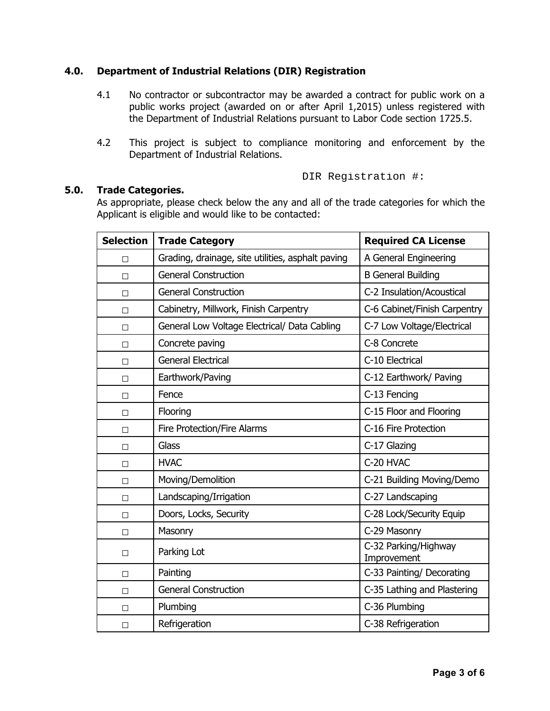### **4.0. Department of Industrial Relations (DIR) Registration**

- 4.1 No contractor or subcontractor may be awarded a contract for public work on a public works project (awarded on or after April 1,2015) unless registered with the Department of Industrial Relations pursuant to Labor Code section 1725.5.
- 4.2 This project is subject to compliance monitoring and enforcement by the Department of Industrial Relations.

DIR Registration #:

### **5.0. Trade Categories.**

As appropriate, please check below the any and all of the trade categories for which the Applicant is eligible and would like to be contacted:

| <b>Selection</b> | <b>Trade Category</b>                             | <b>Required CA License</b>          |  |
|------------------|---------------------------------------------------|-------------------------------------|--|
| П                | Grading, drainage, site utilities, asphalt paving | A General Engineering               |  |
| $\Box$           | <b>General Construction</b>                       | <b>B</b> General Building           |  |
| $\Box$           | <b>General Construction</b>                       | C-2 Insulation/Acoustical           |  |
| $\Box$           | Cabinetry, Millwork, Finish Carpentry             | C-6 Cabinet/Finish Carpentry        |  |
| $\Box$           | General Low Voltage Electrical/ Data Cabling      | C-7 Low Voltage/Electrical          |  |
| $\Box$           | Concrete paving                                   | C-8 Concrete                        |  |
| $\Box$           | <b>General Electrical</b>                         | C-10 Electrical                     |  |
| $\Box$           | Earthwork/Paving                                  | C-12 Earthwork/ Paving              |  |
| $\Box$           | Fence                                             | C-13 Fencing                        |  |
| $\Box$           | Flooring                                          | C-15 Floor and Flooring             |  |
| $\Box$           | <b>Fire Protection/Fire Alarms</b>                | C-16 Fire Protection                |  |
| $\Box$           | Glass                                             | C-17 Glazing                        |  |
| $\Box$           | <b>HVAC</b>                                       | C-20 HVAC                           |  |
| $\Box$           | Moving/Demolition                                 | C-21 Building Moving/Demo           |  |
| $\Box$           | Landscaping/Irrigation                            | C-27 Landscaping                    |  |
| П                | Doors, Locks, Security                            | C-28 Lock/Security Equip            |  |
| П                | Masonry                                           | C-29 Masonry                        |  |
| $\Box$           | Parking Lot                                       | C-32 Parking/Highway<br>Improvement |  |
| $\Box$           | Painting                                          | C-33 Painting/ Decorating           |  |
| $\Box$           | <b>General Construction</b>                       | C-35 Lathing and Plastering         |  |
| $\Box$           | Plumbing                                          | C-36 Plumbing                       |  |
| $\Box$           | Refrigeration                                     | C-38 Refrigeration                  |  |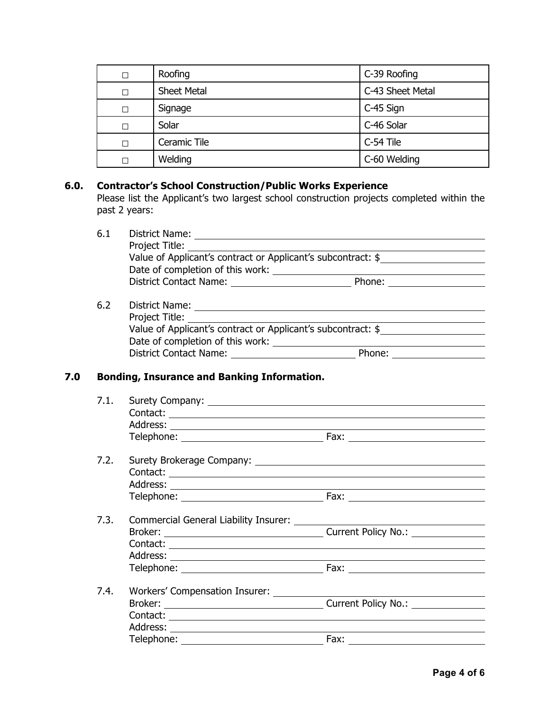| Roofing                 | C-39 Roofing     |  |
|-------------------------|------------------|--|
| <b>Sheet Metal</b>      | C-43 Sheet Metal |  |
| Signage                 | C-45 Sign        |  |
| Solar                   | C-46 Solar       |  |
| Ceramic Tile            | C-54 Tile        |  |
| C-60 Welding<br>Welding |                  |  |

## **6.0. Contractor's School Construction/Public Works Experience**

Please list the Applicant's two largest school construction projects completed within the past 2 years:

| 6.1 | District Name:                                               |        |  |  |
|-----|--------------------------------------------------------------|--------|--|--|
|     | Project Title:                                               |        |  |  |
|     | Value of Applicant's contract or Applicant's subcontract: \$ |        |  |  |
|     | Date of completion of this work:                             |        |  |  |
|     | <b>District Contact Name:</b>                                | Phone: |  |  |
| 6.2 | District Name:                                               |        |  |  |

| <b>DISCRUTE INCILIE.</b>                                     |        |  |
|--------------------------------------------------------------|--------|--|
| Project Title:                                               |        |  |
| Value of Applicant's contract or Applicant's subcontract: \$ |        |  |
| Date of completion of this work:                             |        |  |
| <b>District Contact Name:</b>                                | Phone: |  |
|                                                              |        |  |

## **7.0 Bonding, Insurance and Banking Information.**

|  | Fax: $\frac{1}{2}$                                                                         |  |  |
|--|--------------------------------------------------------------------------------------------|--|--|
|  |                                                                                            |  |  |
|  |                                                                                            |  |  |
|  |                                                                                            |  |  |
|  |                                                                                            |  |  |
|  |                                                                                            |  |  |
|  |                                                                                            |  |  |
|  | Current Policy No.: <u>________________</u>                                                |  |  |
|  |                                                                                            |  |  |
|  |                                                                                            |  |  |
|  |                                                                                            |  |  |
|  | Broker: Current Policy No.: Current Policy No.:<br>Workers' Compensation Insurer: ________ |  |  |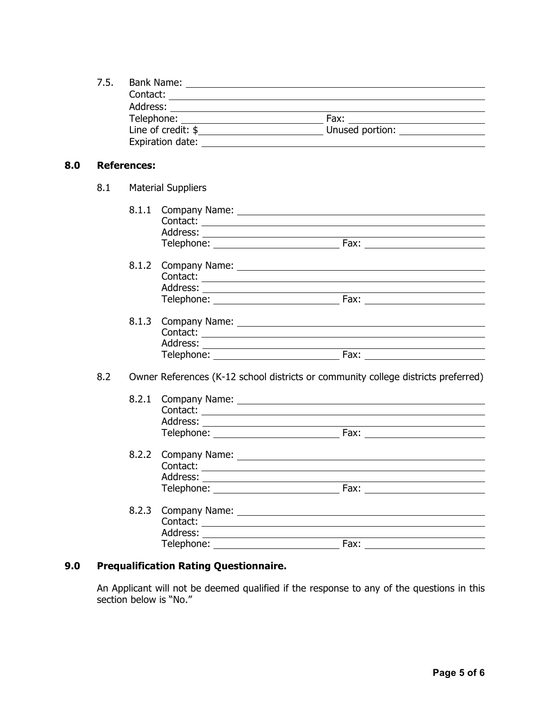|     | 7.5.               |                        |  |                                                                                                                                                                                                                                                                                                                                                                                                                                                                  |
|-----|--------------------|------------------------|--|------------------------------------------------------------------------------------------------------------------------------------------------------------------------------------------------------------------------------------------------------------------------------------------------------------------------------------------------------------------------------------------------------------------------------------------------------------------|
| 8.0 | <b>References:</b> |                        |  |                                                                                                                                                                                                                                                                                                                                                                                                                                                                  |
|     |                    | 8.1 Material Suppliers |  |                                                                                                                                                                                                                                                                                                                                                                                                                                                                  |
|     |                    |                        |  |                                                                                                                                                                                                                                                                                                                                                                                                                                                                  |
|     |                    |                        |  | Telephone: Fax: Fax:                                                                                                                                                                                                                                                                                                                                                                                                                                             |
|     |                    |                        |  |                                                                                                                                                                                                                                                                                                                                                                                                                                                                  |
|     | 8.2                |                        |  | Owner References (K-12 school districts or community college districts preferred)                                                                                                                                                                                                                                                                                                                                                                                |
|     |                    | 8.2.1                  |  | Telephone: Fax: Fax:                                                                                                                                                                                                                                                                                                                                                                                                                                             |
|     |                    |                        |  | Telephone: National Assemblance and Control Control of the Control Control Control Control Control Control Control Control Control Control Control Control Control Control Control Control Control Control Control Control Con<br>Fax: and the state of the state of the state of the state of the state of the state of the state of the state of the state of the state of the state of the state of the state of the state of the state of the state of the s |
|     |                    | 8.2.3                  |  | Company Name: University of the Company Name:                                                                                                                                                                                                                                                                                                                                                                                                                    |

## **9.0 Prequalification Rating Questionnaire.**

An Applicant will not be deemed qualified if the response to any of the questions in this section below is "No."